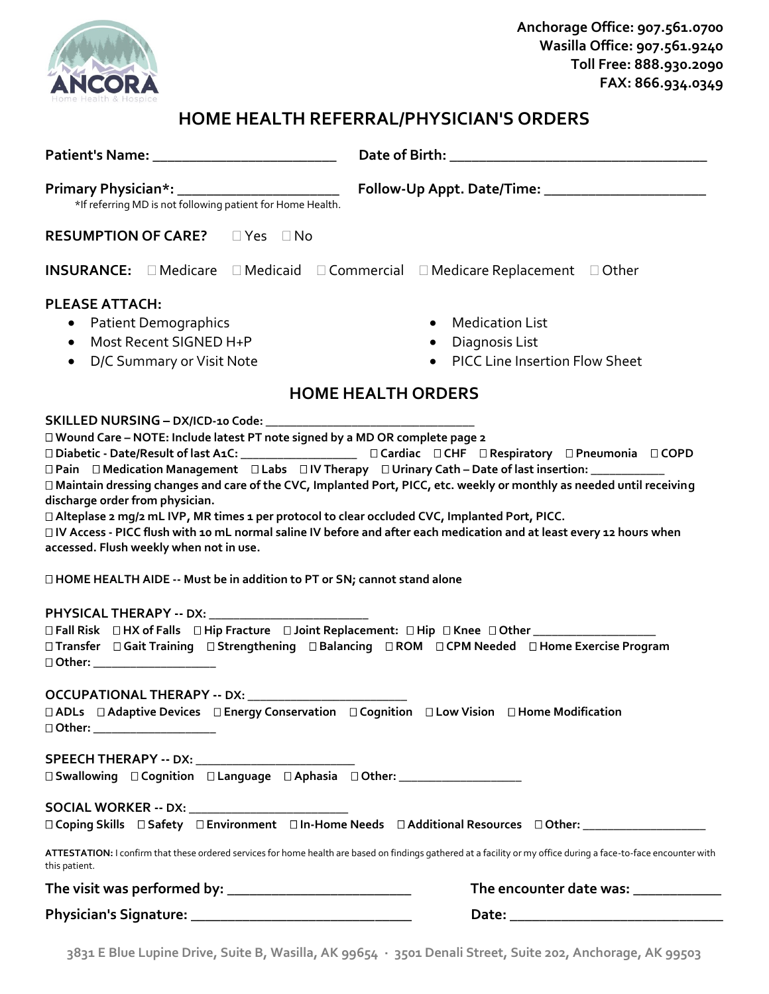

## **HOME HEALTH REFERRAL/PHYSICIAN'S ORDERS**

| *If referring MD is not following patient for Home Health.                                                                                                                                                                                                     |                                                                                                                                                                                                                                                                                                                                                               |
|----------------------------------------------------------------------------------------------------------------------------------------------------------------------------------------------------------------------------------------------------------------|---------------------------------------------------------------------------------------------------------------------------------------------------------------------------------------------------------------------------------------------------------------------------------------------------------------------------------------------------------------|
| <b>RESUMPTION OF CARE?</b> □ Yes □ No                                                                                                                                                                                                                          |                                                                                                                                                                                                                                                                                                                                                               |
| <b>INSURANCE:</b> □ Medicare □ Medicaid □ Commercial □ Medicare Replacement □ Other                                                                                                                                                                            |                                                                                                                                                                                                                                                                                                                                                               |
| <b>PLEASE ATTACH:</b>                                                                                                                                                                                                                                          |                                                                                                                                                                                                                                                                                                                                                               |
| • Patient Demographics                                                                                                                                                                                                                                         | Medication List                                                                                                                                                                                                                                                                                                                                               |
| Most Recent SIGNED H+P<br>$\bullet$                                                                                                                                                                                                                            | • Diagnosis List                                                                                                                                                                                                                                                                                                                                              |
| D/C Summary or Visit Note<br>$\bullet$                                                                                                                                                                                                                         | • PICC Line Insertion Flow Sheet                                                                                                                                                                                                                                                                                                                              |
| <b>HOME HEALTH ORDERS</b>                                                                                                                                                                                                                                      |                                                                                                                                                                                                                                                                                                                                                               |
|                                                                                                                                                                                                                                                                |                                                                                                                                                                                                                                                                                                                                                               |
| □ Wound Care - NOTE: Include latest PT note signed by a MD OR complete page 2<br>discharge order from physician.<br>□ Alteplase 2 mg/2 mL IVP, MR times 1 per protocol to clear occluded CVC, Implanted Port, PICC.<br>accessed. Flush weekly when not in use. | □ Pain □ Medication Management □ Labs □ IV Therapy □ Urinary Cath - Date of last insertion: ____________<br>□ Maintain dressing changes and care of the CVC, Implanted Port, PICC, etc. weekly or monthly as needed until receiving<br>□ IV Access - PICC flush with 10 mL normal saline IV before and after each medication and at least every 12 hours when |
| □ HOME HEALTH AIDE -- Must be in addition to PT or SN; cannot stand alone                                                                                                                                                                                      |                                                                                                                                                                                                                                                                                                                                                               |
|                                                                                                                                                                                                                                                                |                                                                                                                                                                                                                                                                                                                                                               |
| □ Other: _____________________                                                                                                                                                                                                                                 | □ Fall Risk □ HX of Falls □ Hip Fracture □ Joint Replacement: □ Hip □ Knee □ Other ________________<br>□ Transfer □ Gait Training □ Strengthening □ Balancing □ ROM □ CPM Needed □ Home Exercise Program                                                                                                                                                      |
| <b>OCCUPATIONAL THERAPY -- DX:</b>                                                                                                                                                                                                                             |                                                                                                                                                                                                                                                                                                                                                               |
| □ ADLs □ Adaptive Devices □ Energy Conservation □ Cognition □ Low Vision □ Home Modification<br>□ Other: ______________________                                                                                                                                |                                                                                                                                                                                                                                                                                                                                                               |
|                                                                                                                                                                                                                                                                |                                                                                                                                                                                                                                                                                                                                                               |
| □ Swallowing □ Cognition □ Language □ Aphasia □ Other: ________________________                                                                                                                                                                                |                                                                                                                                                                                                                                                                                                                                                               |
| SOCIAL WORKER -- DX: __________________________                                                                                                                                                                                                                |                                                                                                                                                                                                                                                                                                                                                               |
|                                                                                                                                                                                                                                                                | □ Coping Skills □ Safety □ Environment □ In-Home Needs □ Additional Resources □ Other: _______________________                                                                                                                                                                                                                                                |
| this patient.                                                                                                                                                                                                                                                  | ATTESTATION: I confirm that these ordered services for home health are based on findings gathered at a facility or my office during a face-to-face encounter with                                                                                                                                                                                             |
|                                                                                                                                                                                                                                                                | The encounter date was: _____________                                                                                                                                                                                                                                                                                                                         |
|                                                                                                                                                                                                                                                                |                                                                                                                                                                                                                                                                                                                                                               |

**3831 E Blue Lupine Drive, Suite B, Wasilla, AK 99654 · 3501 Denali Street, Suite 202, Anchorage, AK 99503**